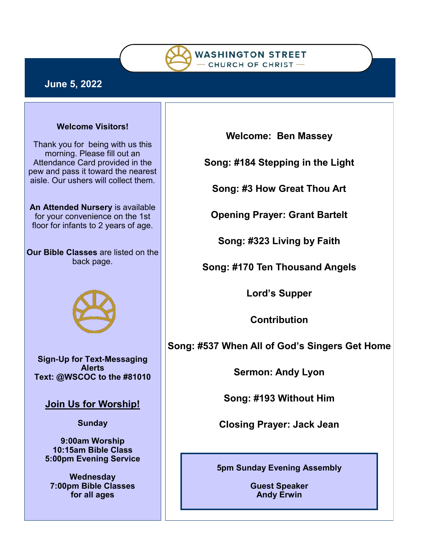

## **June 5, 2022**

#### **Welcome Visitors!**

Thank you for being with us this morning. Please fill out an Attendance Card provided in the pew and pass it toward the nearest aisle. Our ushers will collect them.

**An Attended Nursery** is available for your convenience on the 1st floor for infants to 2 years of age.

**Our Bible Classes** are listed on the back page.



**Sign-Up for Text-Messaging Alerts Text: @WSCOC to the #81010** 

**Join Us for Worship!**

**Sunday**

**9:00am Worship 10:15am Bible Class 5:00pm Evening Service**

**Wednesday 7:00pm Bible Classes for all ages**

**Welcome: Ben Massey**

**Song: #184 Stepping in the Light**

**Song: #3 How Great Thou Art**

**Opening Prayer: Grant Bartelt**

**Song: #323 Living by Faith**

**Song: #170 Ten Thousand Angels**

**Lord's Supper**

**Contribution**

**Song: #537 When All of God's Singers Get Home**

**Sermon: Andy Lyon**

**Song: #193 Without Him**

**Closing Prayer: Jack Jean**

**5pm Sunday Evening Assembly** 

**Guest Speaker Andy Erwin**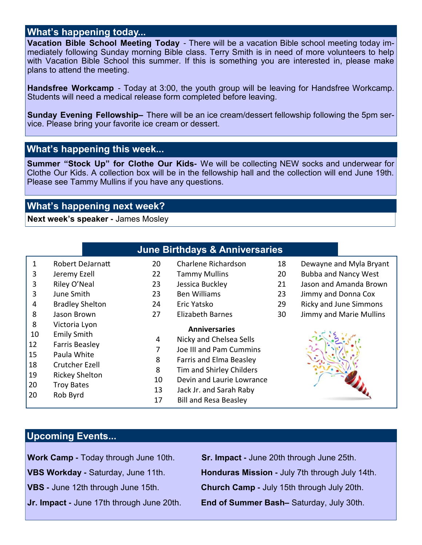#### **What's happening today...**

**Vacation Bible School Meeting Today** - There will be a vacation Bible school meeting today immediately following Sunday morning Bible class. Terry Smith is in need of more volunteers to help with Vacation Bible School this summer. If this is something you are interested in, please make plans to attend the meeting.

**Handsfree Workcamp** - Today at 3:00, the youth group will be leaving for Handsfree Workcamp. Students will need a medical release form completed before leaving.

**Sunday Evening Fellowship–** There will be an ice cream/dessert fellowship following the 5pm service. Please bring your favorite ice cream or dessert.

## **What's happening this week...**

**Summer "Stock Up" for Clothe Our Kids-** We will be collecting NEW socks and underwear for Clothe Our Kids. A collection box will be in the fellowship hall and the collection will end June 19th. Please see Tammy Mullins if you have any questions.

## **What's happening next week?**

**Next week's speaker -** James Mosley

|          |                                      |    | <b>June Birthdays &amp; Anniversaries</b> |    |                               |
|----------|--------------------------------------|----|-------------------------------------------|----|-------------------------------|
| 1        | <b>Robert DeJarnatt</b>              | 20 | Charlene Richardson                       | 18 | Dewayne and Myla Bryant       |
| 3        | Jeremy Ezell                         | 22 | <b>Tammy Mullins</b>                      | 20 | <b>Bubba and Nancy West</b>   |
| 3        | Riley O'Neal                         | 23 | Jessica Buckley                           | 21 | Jason and Amanda Brown        |
| 3        | June Smith                           | 23 | <b>Ben Williams</b>                       | 23 | Jimmy and Donna Cox           |
| 4        | <b>Bradley Shelton</b>               | 24 | Eric Yatsko                               | 29 | <b>Ricky and June Simmons</b> |
| 8        | Jason Brown                          | 27 | <b>Elizabeth Barnes</b>                   | 30 | Jimmy and Marie Mullins       |
| 8        | Victoria Lyon                        |    | <b>Anniversaries</b>                      |    |                               |
| 10       | <b>Emily Smith</b>                   | 4  | Nicky and Chelsea Sells                   |    |                               |
| 12<br>15 | <b>Farris Beasley</b><br>Paula White | 7  | Joe III and Pam Cummins                   |    |                               |
|          | Crutcher Ezell                       | 8  | Farris and Elma Beasley                   |    |                               |
| 18       |                                      | 8  | Tim and Shirley Childers                  |    |                               |
| 19       | <b>Rickey Shelton</b>                | 10 | Devin and Laurie Lowrance                 |    |                               |
| 20       | <b>Troy Bates</b>                    | 13 | Jack Jr. and Sarah Raby                   |    |                               |
| 20       | Rob Byrd                             | 17 | <b>Bill and Resa Beasley</b>              |    |                               |

## **Upcoming Events...**

**Work Camp -** Today through June 10th. **Sr. Impact -** June 20th through June 25th.

**VBS Workday -** Saturday, June 11th. **Honduras Mission -** July 7th through July 14th. **VBS -** June 12th through June 15th. **Church Camp -** July 15th through July 20th. **Jr. Impact -** June 17th through June 20th. **End of Summer Bash–** Saturday, July 30th.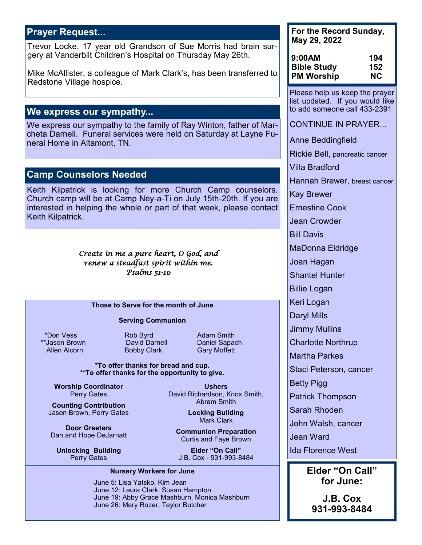## **Prayer Request...**

Trevor Locke, 17 year old Grandson of Sue Morris had brain surgery at Vanderbilt Children's Hospital on Thursday May 26th.

Mike McAllister, a colleague of Mark Clark's, has been transferred to Redstone Village hospice.

### **We express our sympathy...**

We express our sympathy to the family of Ray Winton, father of Marcheta Darnell. Funeral services were held on Saturday at Layne Funeral Home in Altamont, TN.

### **Camp Counselors Needed**

Keith Kilpatrick is looking for more Church Camp counselors. Church camp will be at Camp Ney-a-Ti on July 15th-20th. If you are interested in helping the whole or part of that week, please contact Keith Kilpatrick.

> *Create in me a pure heart, O God, and renew a steadfast spirit within me. Psalms 51-10*

#### **Those to Serve for the month of June**

#### **Serving Communion**

\*Don Vess **Rob Byrd Rob Adam Smith** 

**Bobby Clark** 

\*\*Jason Brown David Darnell Daniel Sapach

**\*To offer thanks for bread and cup. \*\*To offer thanks for the opportunity to give.**

**Worship Coordinator** Perry Gates

**Counting Contribution** Jason Brown, Perry Gates

**Door Greeters** Dan and Hope DeJarnatt

**Unlocking Building** Perry Gates

**Ushers** David Richardson, Knox Smith, Abram Smith

> **Locking Building** Mark Clark

**Communion Preparation** Curtis and Faye Brown

**Elder "On Call"** J.B. Cox - 931-993-8484

#### **Nursery Workers for June**

June 5: Lisa Yatsko, Kim Jean June 12: Laura Clark, Susan Hampton June 19: Abby Grace Mashburn. Monica Mashburn June 26: Mary Rozar, Taylor Butcher

**For the Record Sunday, May 29, 2022**

| 9:00AM             | 194 |
|--------------------|-----|
| <b>Bible Study</b> | 152 |
| <b>PM Worship</b>  | NC. |

Please help us keep the prayer list updated. If you would like to add someone call 433-2391

CONTINUE IN PRAYER...

Anne Beddingfield

Rickie Bell, pancreatic cancer

Villa Bradford

Hannah Brewer, breast cancer

Kay Brewer

Ernestine Cook

Jean Crowder

Bill Davis

MaDonna Eldridge

Joan Hagan

Shantel Hunter

Billie Logan

Keri Logan

Daryl Mills

Jimmy Mullins

Charlotte Northrup

Martha Parkes

Staci Peterson, cancer

Betty Pigg

Patrick Thompson

Sarah Rhoden

John Walsh, cancer

Jean Ward

Ida Florence West

**Elder "On Call" for June:**

**J.B. Cox 931-993-8484**